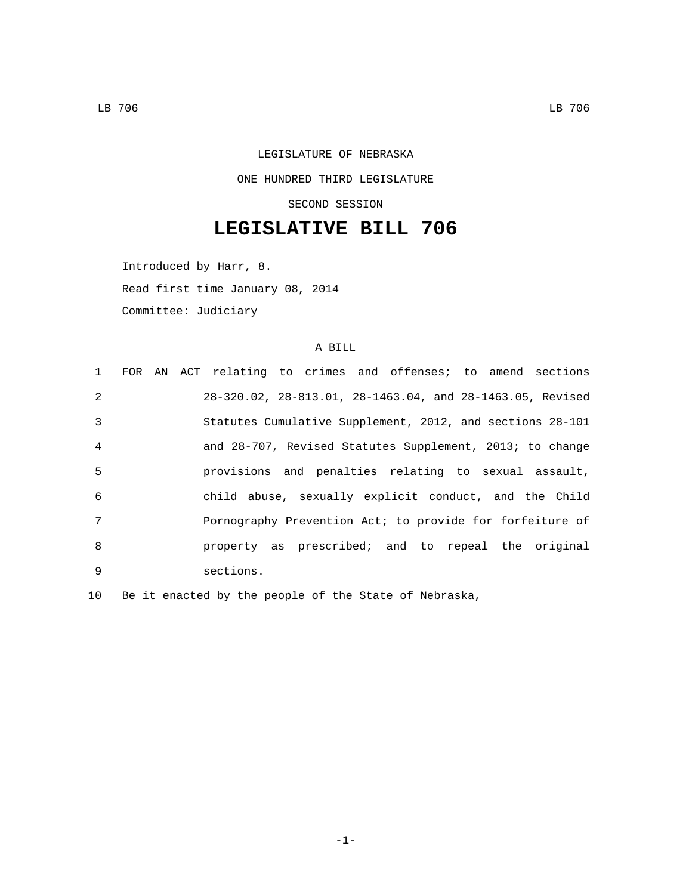## LEGISLATURE OF NEBRASKA ONE HUNDRED THIRD LEGISLATURE SECOND SESSION

## **LEGISLATIVE BILL 706**

Introduced by Harr, 8. Read first time January 08, 2014 Committee: Judiciary

## A BILL

|                 |  | 1 FOR AN ACT relating to crimes and offenses; to amend sections |  |  |  |  |
|-----------------|--|-----------------------------------------------------------------|--|--|--|--|
| $\mathcal{L}$   |  | 28-320.02, 28-813.01, 28-1463.04, and 28-1463.05, Revised       |  |  |  |  |
| $\mathcal{E}$   |  | Statutes Cumulative Supplement, 2012, and sections 28-101       |  |  |  |  |
| $\overline{4}$  |  | and 28-707, Revised Statutes Supplement, 2013; to change        |  |  |  |  |
| 5               |  | provisions and penalties relating to sexual assault,            |  |  |  |  |
| 6               |  | child abuse, sexually explicit conduct, and the Child           |  |  |  |  |
| $7\phantom{.0}$ |  | Pornography Prevention Act; to provide for forfeiture of        |  |  |  |  |
| 8               |  | property as prescribed; and to repeal the original              |  |  |  |  |
| 9               |  | sections.                                                       |  |  |  |  |

10 Be it enacted by the people of the State of Nebraska,

-1-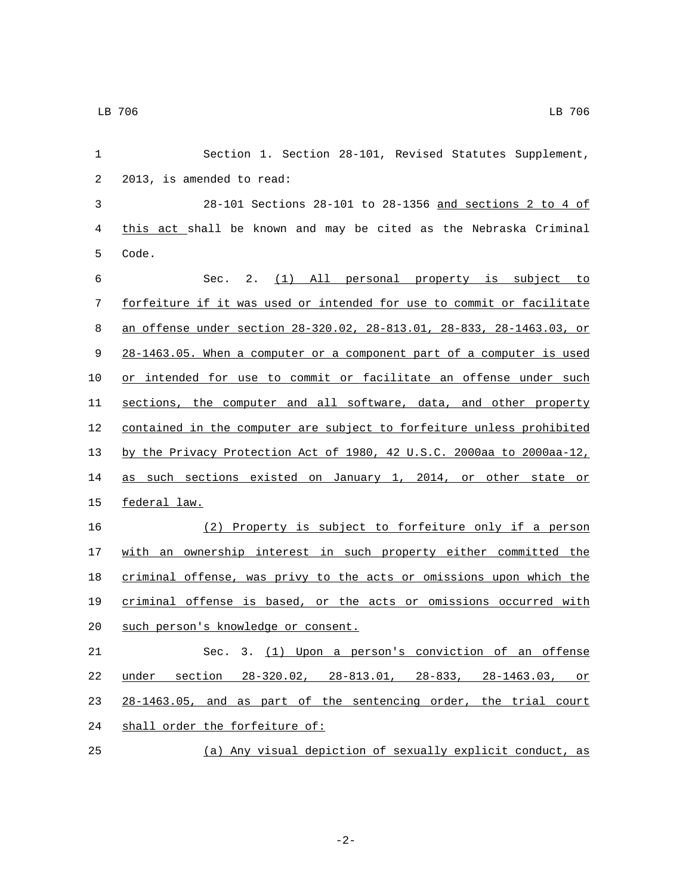| $\mathbf{1}$ | Section 1. Section 28-101, Revised Statutes Supplement,               |
|--------------|-----------------------------------------------------------------------|
| 2            | 2013, is amended to read:                                             |
| $\mathbf{3}$ | 28-101 Sections 28-101 to 28-1356 and sections 2 to 4 of              |
| 4            | this act shall be known and may be cited as the Nebraska Criminal     |
| 5            | Code.                                                                 |
| 6            | Sec. 2. (1) All personal property is subject to                       |
| 7            | forfeiture if it was used or intended for use to commit or facilitate |
| 8            | an offense under section 28-320.02, 28-813.01, 28-833, 28-1463.03, or |
| 9            | 28-1463.05. When a computer or a component part of a computer is used |
| 10           | or intended for use to commit or facilitate an offense under such     |
| 11           | sections, the computer and all software, data, and other property     |
| 12           | contained in the computer are subject to forfeiture unless prohibited |
| 13           | by the Privacy Protection Act of 1980, 42 U.S.C. 2000aa to 2000aa-12, |
| 14           | as such sections existed on January 1, 2014, or other state or        |
| 15           | federal law.                                                          |
| 16           | (2) Property is subject to forfeiture only if a person                |
| 17           | with an ownership interest in such property either committed the      |
| 18           | criminal offense, was privy to the acts or omissions upon which the   |
| 19           | criminal offense is based, or the acts or omissions occurred with     |
| 20           | such person's knowledge or consent.                                   |
| 21           | Sec. 3. (1) Upon a person's conviction of an offense                  |
| 22           | under section 28-320.02, 28-813.01, 28-833, 28-1463.03, or            |
| 23           | 28-1463.05, and as part of the sentencing order, the trial court      |
| 24           | shall order the forfeiture of:                                        |
| 25           | (a) Any visual depiction of sexually explicit conduct, as             |

-2-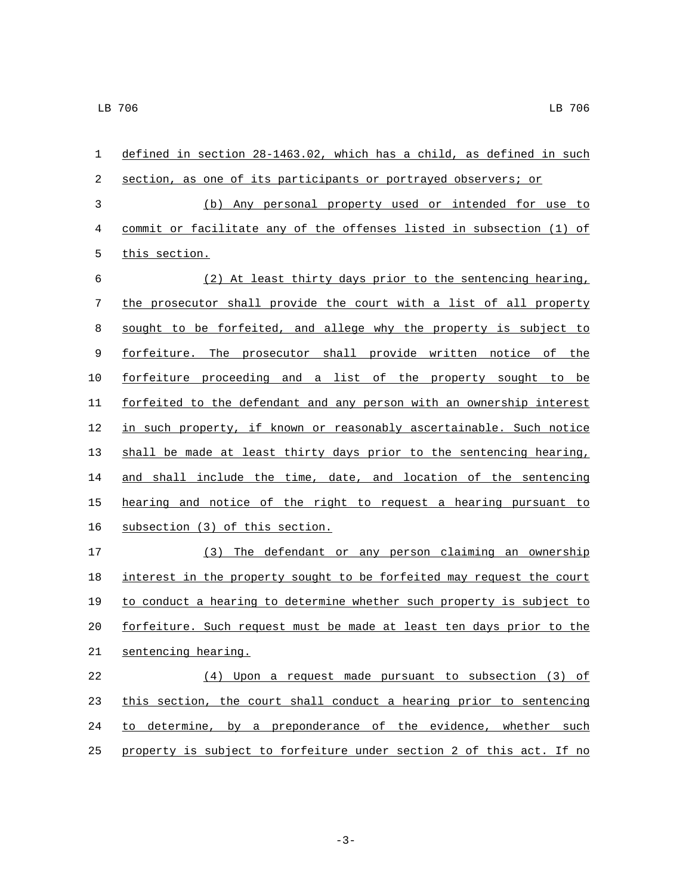| 1  | defined in section 28-1463.02, which has a child, as defined in such  |
|----|-----------------------------------------------------------------------|
| 2  | section, as one of its participants or portrayed observers; or        |
| 3  | (b) Any personal property used or intended for use to                 |
| 4  | commit or facilitate any of the offenses listed in subsection (1) of  |
| 5  | this section.                                                         |
| 6  | (2) At least thirty days prior to the sentencing hearing,             |
| 7  | the prosecutor shall provide the court with a list of all property    |
| 8  | sought to be forfeited, and allege why the property is subject to     |
| 9  | forfeiture. The prosecutor shall provide written notice of the        |
| 10 | forfeiture proceeding and a list of the property sought to be         |
| 11 | forfeited to the defendant and any person with an ownership interest  |
| 12 | in such property, if known or reasonably ascertainable. Such notice   |
| 13 | shall be made at least thirty days prior to the sentencing hearing,   |
| 14 | and shall include the time, date, and location of the sentencing      |
| 15 | hearing and notice of the right to request a hearing pursuant to      |
| 16 | subsection (3) of this section.                                       |
| 17 | The defendant or any person claiming an ownership<br>(3)              |
| 18 | interest in the property sought to be forfeited may request the court |
| 19 | to conduct a hearing to determine whether such property is subject to |
| 20 | forfeiture. Such request must be made at least ten days prior to the  |
| 21 | sentencing hearing.                                                   |
| 22 | (4) Upon a request made pursuant to subsection (3) of                 |
| 23 | this section, the court shall conduct a hearing prior to sentencing   |
| 24 | to determine, by a preponderance of the evidence, whether such        |
| 25 | property is subject to forfeiture under section 2 of this act. If no  |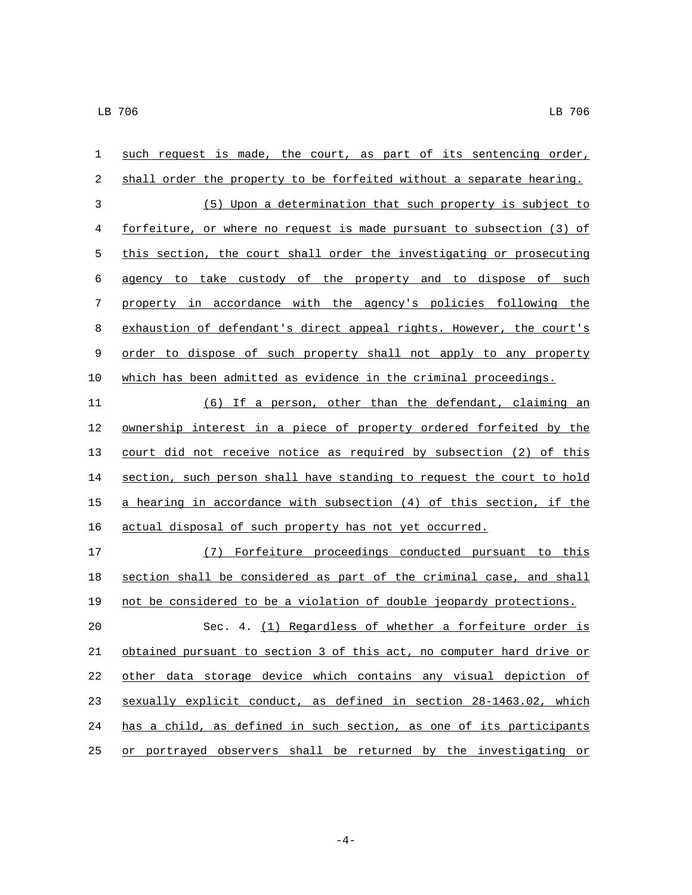| $\mathbf 1$ | such request is made, the court, as part of its sentencing order,         |
|-------------|---------------------------------------------------------------------------|
| 2           | shall order the property to be forfeited without a separate hearing.      |
| 3           | (5) Upon a determination that such property is subject to                 |
| 4           | forfeiture, or where no request is made pursuant to subsection (3) of     |
| 5           | this section, the court shall order the investigating or prosecuting      |
| 6           | agency to take custody of the property and to dispose of such             |
| 7           | property in accordance with the agency's policies following the           |
| $\,8\,$     | exhaustion of defendant's direct appeal rights. However, the court's      |
| 9           | order to dispose of such property shall not apply to any property         |
| 10          | which has been admitted as evidence in the criminal proceedings.          |
| 11          | (6) If a person, other than the defendant, claiming an                    |
| 12          | <u>ownership interest in a piece of property ordered forfeited by the</u> |
| 13          | court did not receive notice as required by subsection (2) of this        |
| 14          | section, such person shall have standing to request the court to hold     |
| 15          | a hearing in accordance with subsection (4) of this section, if the       |
| 16          | actual disposal of such property has not yet occurred.                    |
| 17          | (7) Forfeiture proceedings conducted pursuant to this                     |
| 18          | section shall be considered as part of the criminal case, and shall       |
| 19          | not be considered to be a violation of double jeopardy protections.       |
| 20          | 4. (1) Regardless of whether a forfeiture order is<br>Sec.                |
| 21          | obtained pursuant to section 3 of this act, no computer hard drive or     |
| 22          | other data storage device which contains any visual depiction of          |
| 23          | sexually explicit conduct, as defined in section 28-1463.02, which        |
| 24          | has a child, as defined in such section, as one of its participants       |
| 25          | or portrayed observers shall be returned by the investigating or          |

 $-4-$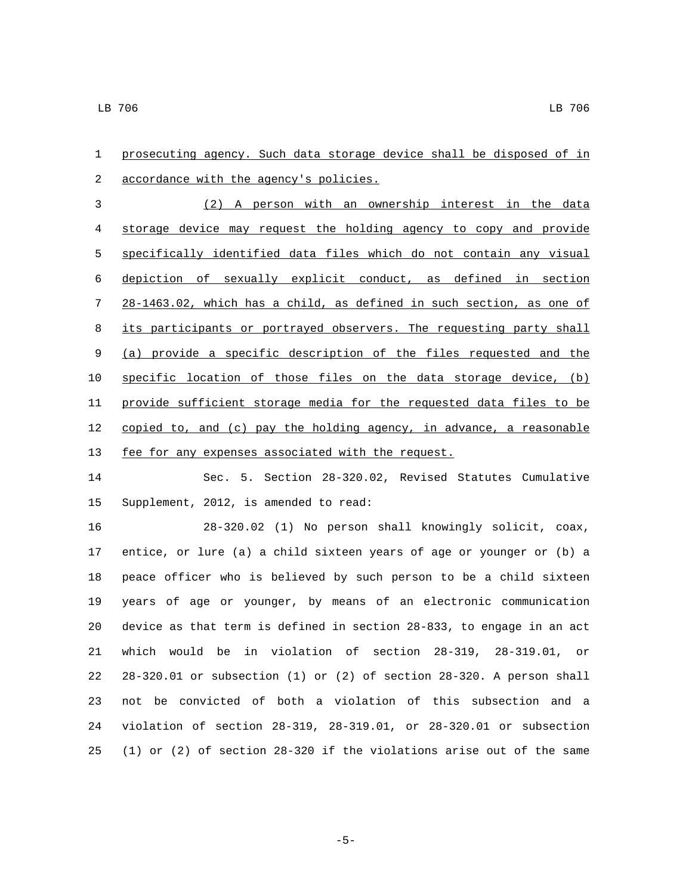prosecuting agency. Such data storage device shall be disposed of in accordance with the agency's policies.2 (2) A person with an ownership interest in the data storage device may request the holding agency to copy and provide specifically identified data files which do not contain any visual depiction of sexually explicit conduct, as defined in section 28-1463.02, which has a child, as defined in such section, as one of 8 its participants or portrayed observers. The requesting party shall (a) provide a specific description of the files requested and the specific location of those files on the data storage device, (b) provide sufficient storage media for the requested data files to be 12 copied to, and (c) pay the holding agency, in advance, a reasonable 13 fee for any expenses associated with the request. Sec. 5. Section 28-320.02, Revised Statutes Cumulative 15 Supplement, 2012, is amended to read:

 28-320.02 (1) No person shall knowingly solicit, coax, entice, or lure (a) a child sixteen years of age or younger or (b) a peace officer who is believed by such person to be a child sixteen years of age or younger, by means of an electronic communication device as that term is defined in section 28-833, to engage in an act which would be in violation of section 28-319, 28-319.01, or 28-320.01 or subsection (1) or (2) of section 28-320. A person shall not be convicted of both a violation of this subsection and a violation of section 28-319, 28-319.01, or 28-320.01 or subsection (1) or (2) of section 28-320 if the violations arise out of the same

-5-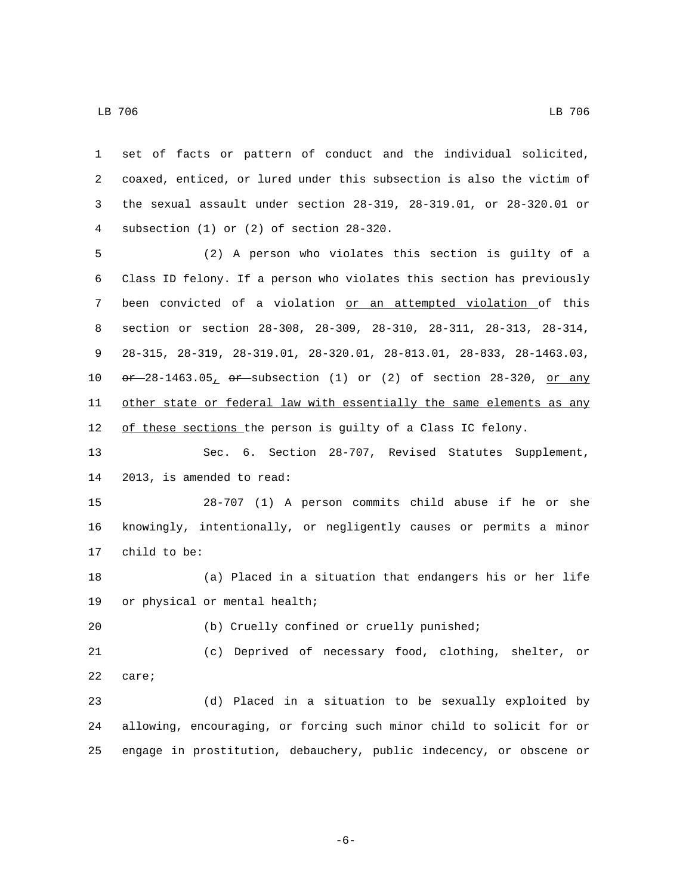LB 706 LB 706

 set of facts or pattern of conduct and the individual solicited, coaxed, enticed, or lured under this subsection is also the victim of the sexual assault under section 28-319, 28-319.01, or 28-320.01 or subsection (1) or (2) of section 28-320.4 (2) A person who violates this section is guilty of a Class ID felony. If a person who violates this section has previously been convicted of a violation or an attempted violation of this section or section 28-308, 28-309, 28-310, 28-311, 28-313, 28-314,

 28-315, 28-319, 28-319.01, 28-320.01, 28-813.01, 28-833, 28-1463.03, 10  $\sigma$   $\rightarrow$  28-1463.05,  $\sigma$  subsection (1) or (2) of section 28-320, or any 11 other state or federal law with essentially the same elements as any 12 of these sections the person is guilty of a Class IC felony.

 Sec. 6. Section 28-707, Revised Statutes Supplement, 14 2013, is amended to read:

 28-707 (1) A person commits child abuse if he or she knowingly, intentionally, or negligently causes or permits a minor 17 child to be:

 (a) Placed in a situation that endangers his or her life 19 or physical or mental health;

(b) Cruelly confined or cruelly punished;

 (c) Deprived of necessary food, clothing, shelter, or 22 care;

 (d) Placed in a situation to be sexually exploited by allowing, encouraging, or forcing such minor child to solicit for or engage in prostitution, debauchery, public indecency, or obscene or

-6-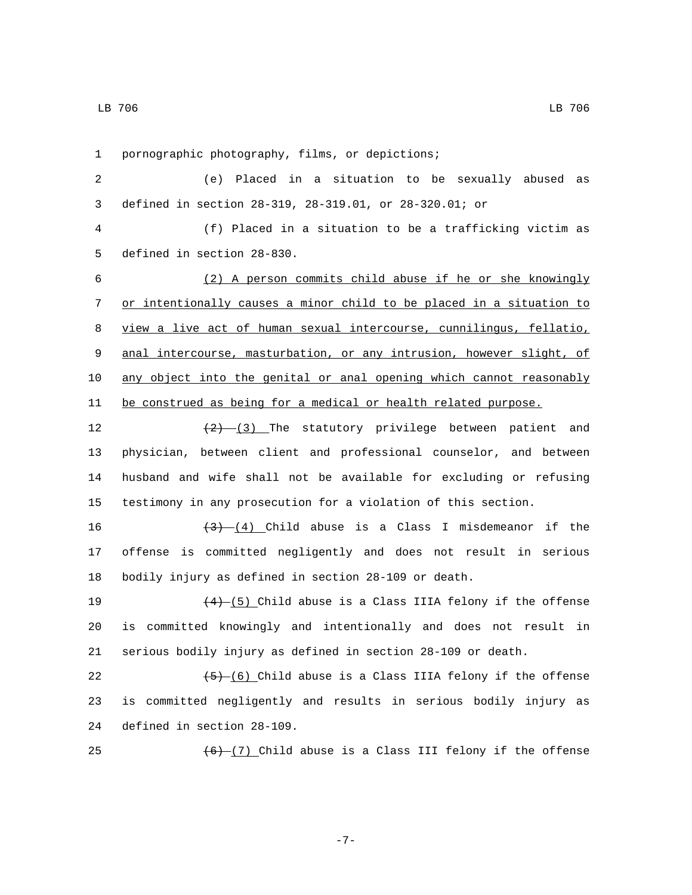1 pornographic photography, films, or depictions;

2 (e) Placed in a situation to be sexually abused as 3 defined in section 28-319, 28-319.01, or 28-320.01; or

4 (f) Placed in a situation to be a trafficking victim as 5 defined in section 28-830.

 (2) A person commits child abuse if he or she knowingly or intentionally causes a minor child to be placed in a situation to view a live act of human sexual intercourse, cunnilingus, fellatio, anal intercourse, masturbation, or any intrusion, however slight, of any object into the genital or anal opening which cannot reasonably 11 be construed as being for a medical or health related purpose.

 $\left(2\right)$   $\left(3\right)$  The statutory privilege between patient and physician, between client and professional counselor, and between husband and wife shall not be available for excluding or refusing testimony in any prosecution for a violation of this section.

16  $\left(3\right)$   $\left(4\right)$  Child abuse is a Class I misdemeanor if the 17 offense is committed negligently and does not result in serious 18 bodily injury as defined in section 28-109 or death.

19  $(4)$   $(5)$  Child abuse is a Class IIIA felony if the offense 20 is committed knowingly and intentionally and does not result in 21 serious bodily injury as defined in section 28-109 or death.

22  $(5)-(6)$  Child abuse is a Class IIIA felony if the offense 23 is committed negligently and results in serious bodily injury as 24 defined in section 28-109.

25  $(6)$   $(7)$  Child abuse is a Class III felony if the offense

LB 706 LB 706

-7-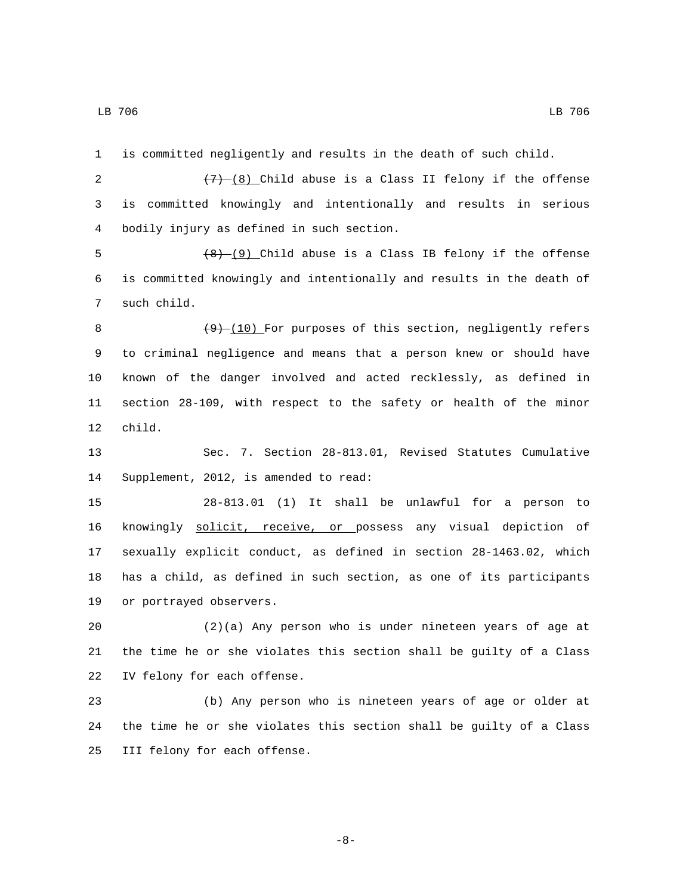1 is committed negligently and results in the death of such child.

2  $(7)$   $(8)$  Child abuse is a Class II felony if the offense 3 is committed knowingly and intentionally and results in serious bodily injury as defined in such section.4

5  $(8)$  (9) Child abuse is a Class IB felony if the offense 6 is committed knowingly and intentionally and results in the death of 7 such child.

8 (9) (10) For purposes of this section, negligently refers 9 to criminal negligence and means that a person knew or should have 10 known of the danger involved and acted recklessly, as defined in 11 section 28-109, with respect to the safety or health of the minor 12 child.

13 Sec. 7. Section 28-813.01, Revised Statutes Cumulative 14 Supplement, 2012, is amended to read:

 28-813.01 (1) It shall be unlawful for a person to knowingly solicit, receive, or possess any visual depiction of sexually explicit conduct, as defined in section 28-1463.02, which has a child, as defined in such section, as one of its participants 19 or portrayed observers.

20 (2)(a) Any person who is under nineteen years of age at 21 the time he or she violates this section shall be guilty of a Class 22 IV felony for each offense.

23 (b) Any person who is nineteen years of age or older at 24 the time he or she violates this section shall be guilty of a Class 25 III felony for each offense.

-8-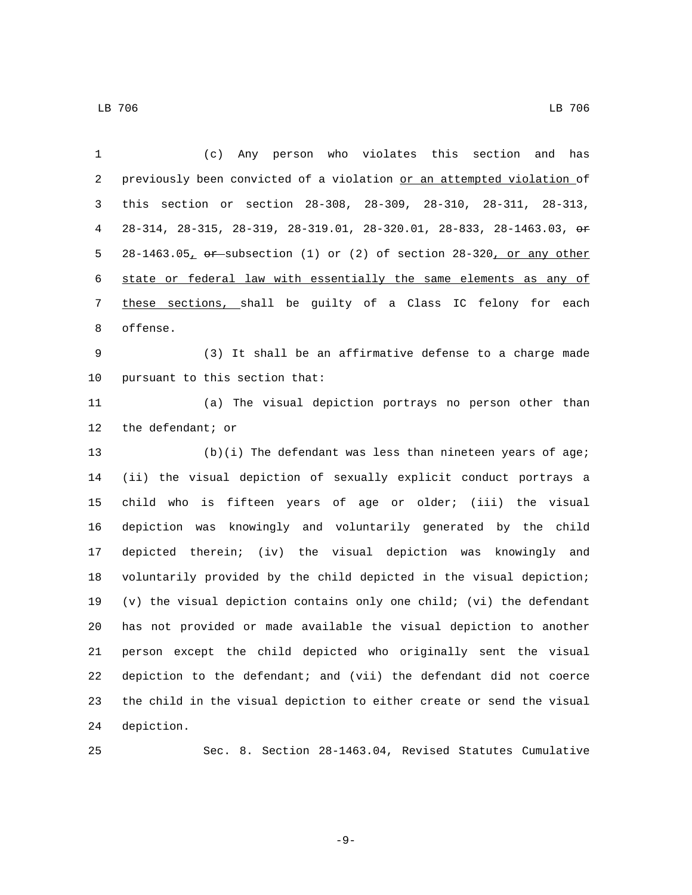| 1  | Any person who violates this section and has<br>(C)                                 |
|----|-------------------------------------------------------------------------------------|
| 2  | previously been convicted of a violation or an attempted violation of               |
| 3  | this section or section 28-308, 28-309, 28-310, 28-311, 28-313,                     |
| 4  | 28-314, 28-315, 28-319, 28-319.01, 28-320.01, 28-833, 28-1463.03, or                |
| 5  | $28-1463.05$ , $\theta$ ex-subsection (1) or (2) of section $28-320$ , or any other |
| 6  | state or federal law with essentially the same elements as any of                   |
| 7  | these sections, shall be guilty of a Class IC felony for each                       |
| 8  | offense.                                                                            |
| 9  | (3) It shall be an affirmative defense to a charge made                             |
| 10 | pursuant to this section that:                                                      |
| 11 | (a) The visual depiction portrays no person other than                              |
| 12 | the defendant; or                                                                   |
| 13 | $(b)(i)$ The defendant was less than nineteen years of age;                         |
| 14 | (ii) the visual depiction of sexually explicit conduct portrays a                   |
| 15 | child who is fifteen years of age or older; (iii) the visual                        |
| 16 | depiction was knowingly and voluntarily generated by the child                      |
| 17 | depicted therein; (iv) the visual depiction was knowingly and                       |
| 18 | voluntarily provided by the child depicted in the visual depiction;                 |
| 19 | (v) the visual depiction contains only one child; (vi) the defendant                |
| 20 | has not provided or made available the visual depiction to another                  |
| 21 | person except the child depicted who originally sent the visual                     |
| 22 | depiction to the defendant; and (vii) the defendant did not coerce                  |
| 23 | the child in the visual depiction to either create or send the visual               |
| 24 | depiction.                                                                          |
|    |                                                                                     |

Sec. 8. Section 28-1463.04, Revised Statutes Cumulative

-9-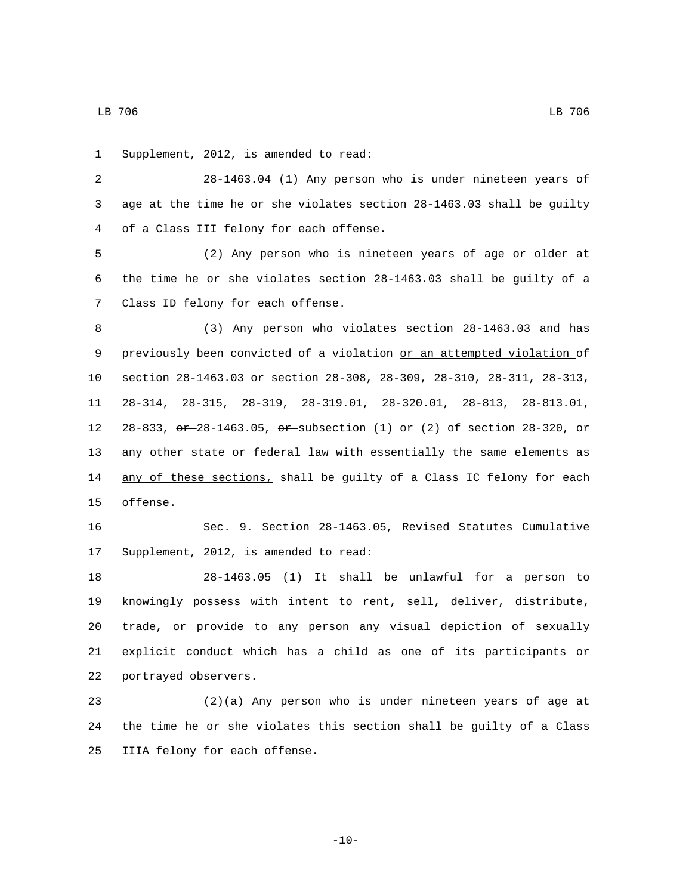LB 706 LB 706

1 Supplement, 2012, is amended to read:

2 28-1463.04 (1) Any person who is under nineteen years of 3 age at the time he or she violates section 28-1463.03 shall be guilty 4 of a Class III felony for each offense.

5 (2) Any person who is nineteen years of age or older at 6 the time he or she violates section 28-1463.03 shall be guilty of a 7 Class ID felony for each offense.

 (3) Any person who violates section 28-1463.03 and has previously been convicted of a violation or an attempted violation of section 28-1463.03 or section 28-308, 28-309, 28-310, 28-311, 28-313, 28-314, 28-315, 28-319, 28-319.01, 28-320.01, 28-813, 28-813.01, 12 28-833,  $\sigma$  + 28-1463.05,  $\sigma$  + subsection (1) or (2) of section 28-320, or any other state or federal law with essentially the same elements as 14 any of these sections, shall be guilty of a Class IC felony for each 15 offense.

16 Sec. 9. Section 28-1463.05, Revised Statutes Cumulative 17 Supplement, 2012, is amended to read:

 28-1463.05 (1) It shall be unlawful for a person to knowingly possess with intent to rent, sell, deliver, distribute, trade, or provide to any person any visual depiction of sexually explicit conduct which has a child as one of its participants or 22 portrayed observers.

23 (2)(a) Any person who is under nineteen years of age at 24 the time he or she violates this section shall be guilty of a Class 25 IIIA felony for each offense.

-10-